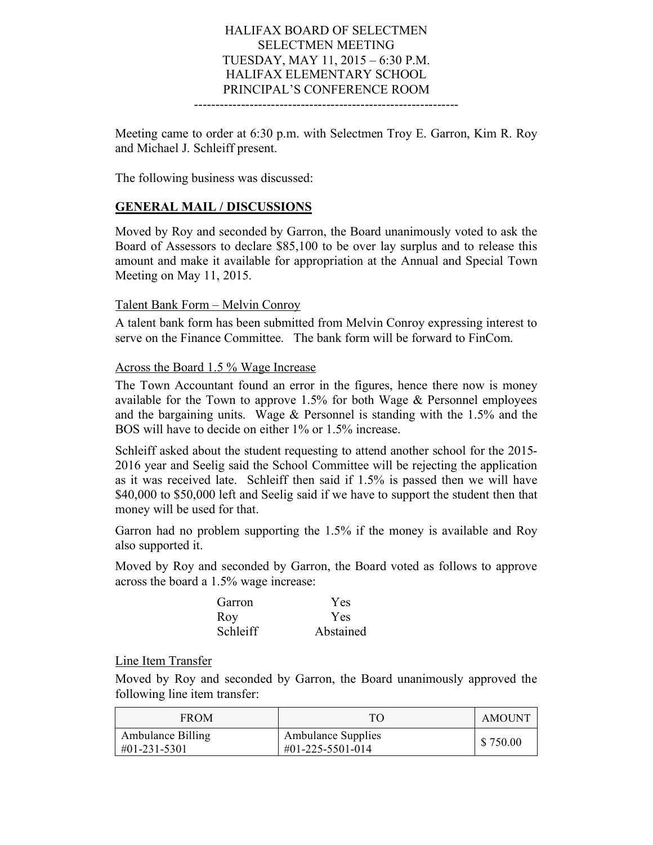### HALIFAX BOARD OF SELECTMEN SELECTMEN MEETING TUESDAY, MAY 11, 2015 – 6:30 P.M. HALIFAX ELEMENTARY SCHOOL PRINCIPAL'S CONFERENCE ROOM

Meeting came to order at 6:30 p.m. with Selectmen Troy E. Garron, Kim R. Roy and Michael J. Schleiff present.

 $-$ 

The following business was discussed:

### **GENERAL MAIL / DISCUSSIONS**

Moved by Roy and seconded by Garron, the Board unanimously voted to ask the Board of Assessors to declare \$85,100 to be over lay surplus and to release this amount and make it available for appropriation at the Annual and Special Town Meeting on May 11, 2015.

### Talent Bank Form – Melvin Conroy

A talent bank form has been submitted from Melvin Conroy expressing interest to serve on the Finance Committee. The bank form will be forward to FinCom.

#### Across the Board 1.5 % Wage Increase

The Town Accountant found an error in the figures, hence there now is money available for the Town to approve 1.5% for both Wage & Personnel employees and the bargaining units. Wage  $\&$  Personnel is standing with the 1.5% and the BOS will have to decide on either 1% or 1.5% increase.

Schleiff asked about the student requesting to attend another school for the 2015- 2016 year and Seelig said the School Committee will be rejecting the application as it was received late. Schleiff then said if 1.5% is passed then we will have \$40,000 to \$50,000 left and Seelig said if we have to support the student then that money will be used for that.

Garron had no problem supporting the 1.5% if the money is available and Roy also supported it.

Moved by Roy and seconded by Garron, the Board voted as follows to approve across the board a 1.5% wage increase:

| Garron   | Yes<br>Yes |  |  |
|----------|------------|--|--|
| Roy      |            |  |  |
| Schleiff | Abstained  |  |  |

#### Line Item Transfer

Moved by Roy and seconded by Garron, the Board unanimously approved the following line item transfer:

| <b>FROM</b>              | TО                        | <b>AMOUNT</b> |
|--------------------------|---------------------------|---------------|
| <b>Ambulance Billing</b> | <b>Ambulance Supplies</b> | \$750.00      |
| #01-231-5301             | #01-225-5501-014          |               |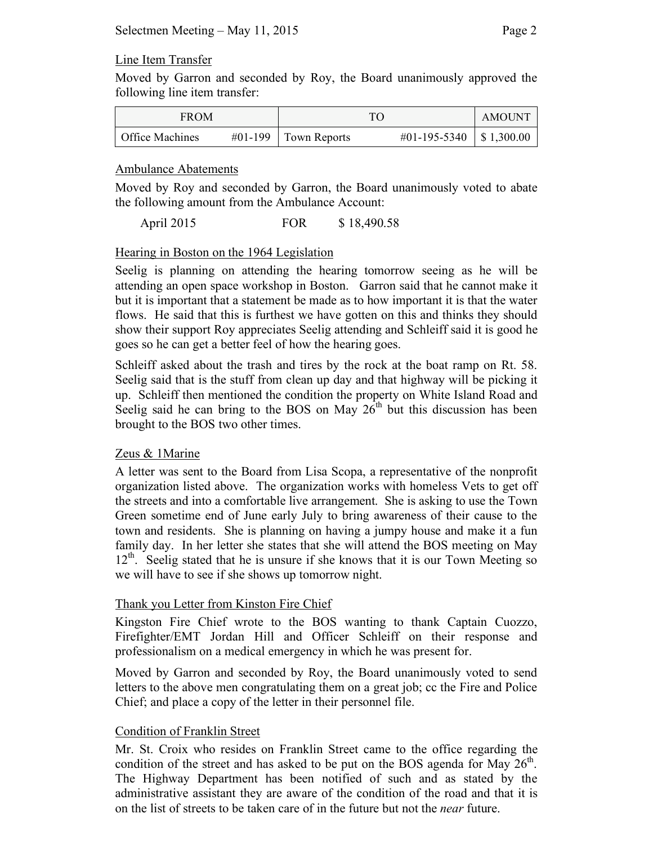### Line Item Transfer

Moved by Garron and seconded by Roy, the Board unanimously approved the following line item transfer:

| <b>FROM</b>            |                         | TС | AMOUNT |
|------------------------|-------------------------|----|--------|
| <b>Office Machines</b> | $\#01-199$ Town Reports |    |        |

### Ambulance Abatements

Moved by Roy and seconded by Garron, the Board unanimously voted to abate the following amount from the Ambulance Account:

April 2015 FOR \$ 18,490.58

# Hearing in Boston on the 1964 Legislation

Seelig is planning on attending the hearing tomorrow seeing as he will be attending an open space workshop in Boston. Garron said that he cannot make it but it is important that a statement be made as to how important it is that the water flows. He said that this is furthest we have gotten on this and thinks they should show their support Roy appreciates Seelig attending and Schleiff said it is good he goes so he can get a better feel of how the hearing goes.

Schleiff asked about the trash and tires by the rock at the boat ramp on Rt. 58. Seelig said that is the stuff from clean up day and that highway will be picking it up. Schleiff then mentioned the condition the property on White Island Road and Seelig said he can bring to the BOS on May  $26<sup>th</sup>$  but this discussion has been brought to the BOS two other times.

### Zeus & 1Marine

A letter was sent to the Board from Lisa Scopa, a representative of the nonprofit organization listed above. The organization works with homeless Vets to get off the streets and into a comfortable live arrangement. She is asking to use the Town Green sometime end of June early July to bring awareness of their cause to the town and residents. She is planning on having a jumpy house and make it a fun family day. In her letter she states that she will attend the BOS meeting on May  $12<sup>th</sup>$ . Seelig stated that he is unsure if she knows that it is our Town Meeting so we will have to see if she shows up tomorrow night.

### Thank you Letter from Kinston Fire Chief

Kingston Fire Chief wrote to the BOS wanting to thank Captain Cuozzo, Firefighter/EMT Jordan Hill and Officer Schleiff on their response and professionalism on a medical emergency in which he was present for.

Moved by Garron and seconded by Roy, the Board unanimously voted to send letters to the above men congratulating them on a great job; cc the Fire and Police Chief; and place a copy of the letter in their personnel file.

# Condition of Franklin Street

Mr. St. Croix who resides on Franklin Street came to the office regarding the condition of the street and has asked to be put on the BOS agenda for May  $26<sup>th</sup>$ . The Highway Department has been notified of such and as stated by the administrative assistant they are aware of the condition of the road and that it is on the list of streets to be taken care of in the future but not the *near* future.